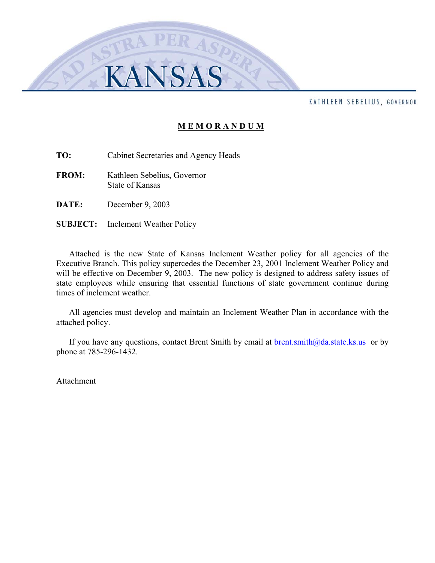#### KATHLEEN SEBELIUS, GOVERNOR

### **M E M O R A N D U M**

**TO:** Cabinet Secretaries and Agency Heads

- **FROM:** Kathleen Sebelius, Governor State of Kansas
- **DATE:** December 9, 2003
- **SUBJECT:** Inclement Weather Policy

Attached is the new State of Kansas Inclement Weather policy for all agencies of the Executive Branch. This policy supercedes the December 23, 2001 Inclement Weather Policy and will be effective on December 9, 2003. The new policy is designed to address safety issues of state employees while ensuring that essential functions of state government continue during times of inclement weather.

All agencies must develop and maintain an Inclement Weather Plan in accordance with the attached policy.

If you have any questions, contact Brent Smith by email at  $brent smith@da.state.ks.us$  or by</u> phone at 785-296-1432.

Attachment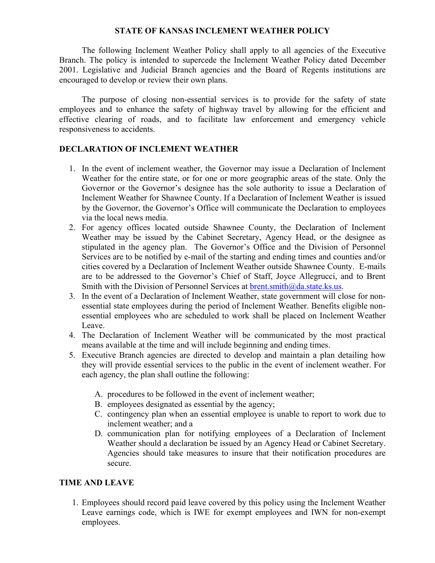## **STATE OF KANSAS INCLEMENT WEATHER POLICY**

The following Inclement Weather Policy shall apply to all agencies of the Executive Branch. The policy is intended to supercede the Inclement Weather Policy dated December 2001. Legislative and Judicial Branch agencies and the Board of Regents institutions are encouraged to develop or review their own plans.

The purpose of closing non-essential services is to provide for the safety of state employees and to enhance the safety of highway travel by allowing for the efficient and effective clearing of roads, and to facilitate law enforcement and emergency vehicle responsiveness to accidents.

## **DECLARATION OF INCLEMENT WEATHER**

- 1. In the event of inclement weather, the Governor may issue a Declaration of Inclement Weather for the entire state, or for one or more geographic areas of the state. Only the Governor or the Governor's designee has the sole authority to issue a Declaration of Inclement Weather for Shawnee County. If a Declaration of Inclement Weather is issued by the Governor, the Governor's Office will communicate the Declaration to employees via the local news media.
- 2. For agency offices located outside Shawnee County, the Declaration of Inclement Weather may be issued by the Cabinet Secretary, Agency Head, or the designee as stipulated in the agency plan. The Governor's Office and the Division of Personnel Services are to be notified by e-mail of the starting and ending times and counties and/or cities covered by a Declaration of Inclement Weather outside Shawnee County. E-mails are to be addressed to the Governor's Chief of Staff, Joyce Allegrucci, and to Brent Smith with the Division of Personnel Services at  $brent \cdot \text{smith}(\partial_a da \cdot state \cdot ks \cdot us$ .
- 3. In the event of a Declaration of Inclement Weather, state government will close for nonessential state employees during the period of Inclement Weather. Benefits eligible nonessential employees who are scheduled to work shall be placed on Inclement Weather Leave.
- 4. The Declaration of Inclement Weather will be communicated by the most practical means available at the time and will include beginning and ending times.
- 5. Executive Branch agencies are directed to develop and maintain a plan detailing how they will provide essential services to the public in the event of inclement weather. For each agency, the plan shall outline the following:
	- A. procedures to be followed in the event of inclement weather;
	- B. employees designated as essential by the agency;
	- C. contingency plan when an essential employee is unable to report to work due to inclement weather; and a
	- D. communication plan for notifying employees of a Declaration of Inclement Weather should a declaration be issued by an Agency Head or Cabinet Secretary. Agencies should take measures to insure that their notification procedures are secure.

### **TIME AND LEAVE**

1. Employees should record paid leave covered by this policy using the Inclement Weather Leave earnings code, which is IWE for exempt employees and IWN for non-exempt employees.